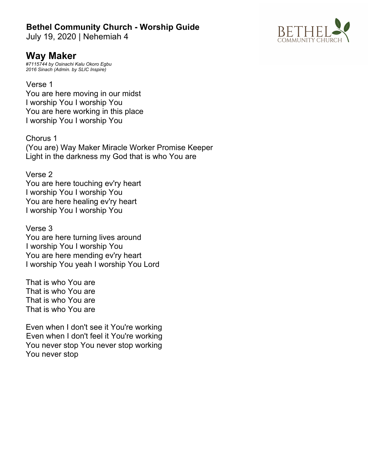## **Bethel Community Church - Worship Guide**

July 19, 2020 | Nehemiah 4



# **Way Maker**

*#7115744 by Osinachi Kalu Okoro Egbu 2016 Sinach (Admin. by SLIC Inspire)* 

Verse 1 You are here moving in our midst I worship You I worship You You are here working in this place I worship You I worship You

Chorus 1 (You are) Way Maker Miracle Worker Promise Keeper Light in the darkness my God that is who You are

Verse 2

You are here touching ev'ry heart I worship You I worship You You are here healing ev'ry heart I worship You I worship You

Verse 3 You are here turning lives around I worship You I worship You You are here mending ev'ry heart I worship You yeah I worship You Lord

That is who You are That is who You are That is who You are That is who You are

Even when I don't see it You're working Even when I don't feel it You're working You never stop You never stop working You never stop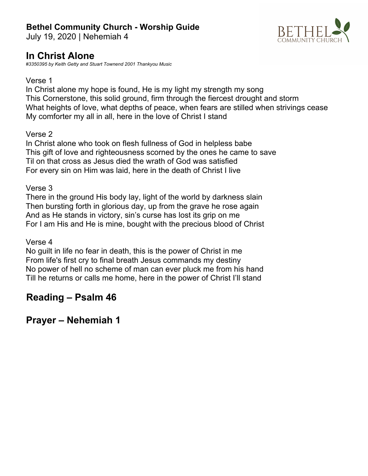## **Bethel Community Church - Worship Guide**

July 19, 2020 | Nehemiah 4



## **In Christ Alone**

*#3350395 by Keith Getty and Stuart Townend 2001 Thankyou Music*

## Verse 1

In Christ alone my hope is found, He is my light my strength my song This Cornerstone, this solid ground, firm through the fiercest drought and storm What heights of love, what depths of peace, when fears are stilled when strivings cease My comforter my all in all, here in the love of Christ I stand

## Verse 2

In Christ alone who took on flesh fullness of God in helpless babe This gift of love and righteousness scorned by the ones he came to save Til on that cross as Jesus died the wrath of God was satisfied For every sin on Him was laid, here in the death of Christ I live

## Verse 3

There in the ground His body lay, light of the world by darkness slain Then bursting forth in glorious day, up from the grave he rose again And as He stands in victory, sin's curse has lost its grip on me For I am His and He is mine, bought with the precious blood of Christ

### Verse 4

No guilt in life no fear in death, this is the power of Christ in me From life's first cry to final breath Jesus commands my destiny No power of hell no scheme of man can ever pluck me from his hand Till he returns or calls me home, here in the power of Christ I'll stand

# **Reading – Psalm 46**

**Prayer – Nehemiah 1**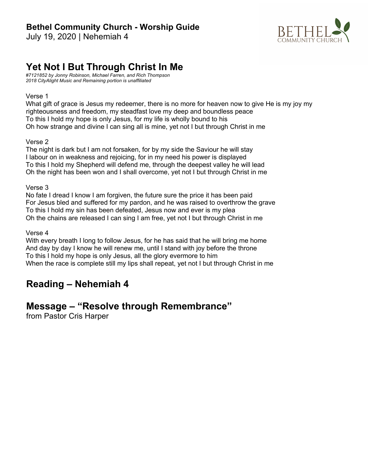July 19, 2020 | Nehemiah 4



# **Yet Not I But Through Christ In Me**

*#7121852 by Jonny Robinson, Michael Farren, and Rich Thompson 2018 CityAlight Music and Remaining portion is unaffiliated*

Verse 1

What gift of grace is Jesus my redeemer, there is no more for heaven now to give He is my joy my righteousness and freedom, my steadfast love my deep and boundless peace To this I hold my hope is only Jesus, for my life is wholly bound to his Oh how strange and divine I can sing all is mine, yet not I but through Christ in me

### Verse 2

The night is dark but I am not forsaken, for by my side the Saviour he will stay I labour on in weakness and rejoicing, for in my need his power is displayed To this I hold my Shepherd will defend me, through the deepest valley he will lead Oh the night has been won and I shall overcome, yet not I but through Christ in me

### Verse 3

No fate I dread I know I am forgiven, the future sure the price it has been paid For Jesus bled and suffered for my pardon, and he was raised to overthrow the grave To this I hold my sin has been defeated, Jesus now and ever is my plea Oh the chains are released I can sing I am free, yet not I but through Christ in me

### Verse 4

With every breath I long to follow Jesus, for he has said that he will bring me home And day by day I know he will renew me, until I stand with joy before the throne To this I hold my hope is only Jesus, all the glory evermore to him When the race is complete still my lips shall repeat, yet not I but through Christ in me

# **Reading – Nehemiah 4**

# **Message – "Resolve through Remembrance"**

from Pastor Cris Harper